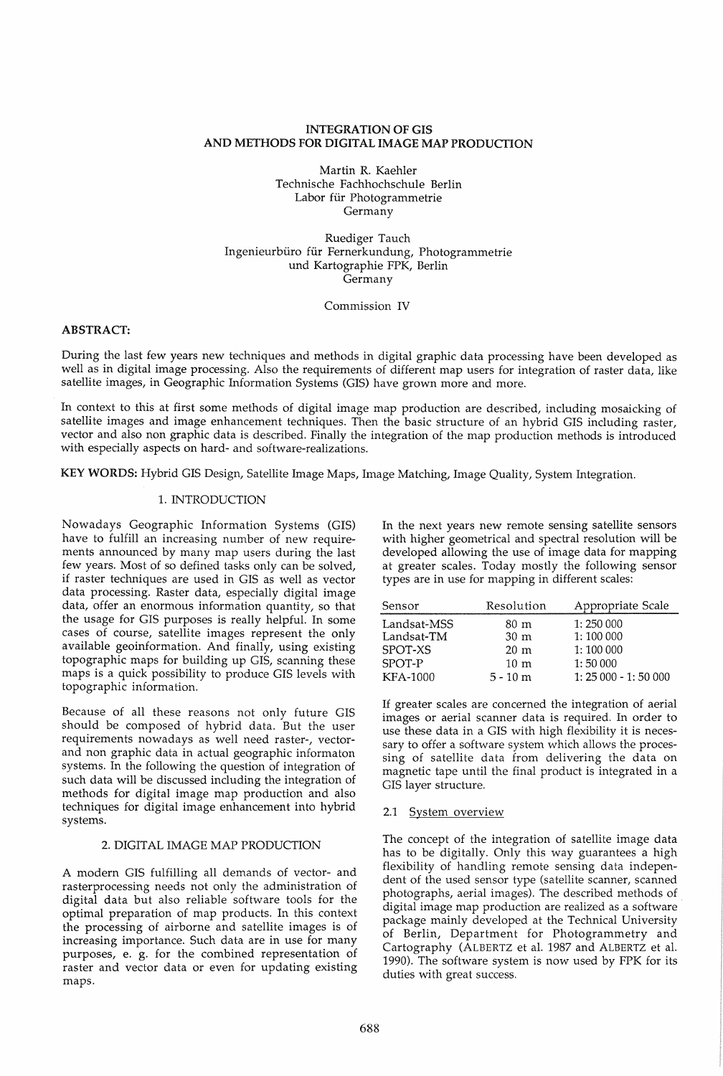# INTEGRATION OF GIS AND METHODS FOR DIGITAL IMAGE MAP PRODUCTION

Martin R. Kaehler Technische Fachhochschule Berlin Labor für Photogrammetrie Germany

Ruediger Tauch Ingenieurbüro für Fernerkundung, Photogrammetrie und Kartographie FPK, Berlin Germany

Commission IV

# ABSTRACT:

During the last few years new techniques and methods in digital graphic data processing have been developed as well as in digital image processing. Also the requirements of different map users for integration of raster data, like satellite images, in Geographic Information Systems (GIS) have grown more and more.

In context to this at first some methods of digital image map production are described, including mosaicking of satellite images and image enhancement techniques. Then the basic structure of an hybrid GIS including raster, vector and also non graphic data is described. Finally the integration of the map production methods is introduced with especially aspects on hard- and software-realizations.

KEY WORDS: Hybrid GIS Design, Satellite Image Maps, Image Matching, Image Quality, System Integration.

# 1. INTRODUCTION

Nowadays Geographic Information Systems (GIS) have to fulfill an increasing number of new requirements announced by many map users during the last few years. Most of so defined tasks only can be solved, if raster techniques are used in GIS as well as vector data processing. Raster data, especially digital image data, offer an enormous information quantity, so that the usage for GIS purposes is really helpful. In some cases of course, satellite images represent the only available geoinformation. And finally, using existing topographic maps for building up GIS, scanning these maps is a quick possibility to produce GIS levels with topographic information.

Because of all these reasons not only future GIS should be composed of hybrid data. But the user requirements nowadays as well need raster-, vectorand non graphic data in actual geographic informaton systems. In the following the question of integration of such data will be discussed including the integration of methods for digital image map production and also techniques for digital image enhancement into hybrid systems.

# 2. DIGITAL IMAGE MAP PRODUCTION

A modern GIS fulfilling all demands of vector- and rasterprocessing needs not only the administration of digital data but also reliable software tools for the optimal preparation of map products. In this context the processing of airborne and satellite images is of increasing importance. Such data are in use for many purposes, e. g. for the combined representation of raster and vector data or even for updating existing maps.

In the next years new remote sensing satellite sensors with higher geometrical and spectral resolution will be developed allowing the use of image data for mapping at greater scales. Today mostly the following sensor types are in use for mapping in different scales:

| Sensor          | Resolution      | Appropriate Scale     |
|-----------------|-----------------|-----------------------|
| Landsat-MSS     | 80 m            | 1:250 000             |
| Landsat-TM      | 30 <sub>m</sub> | 1:100 000             |
| SPOT-XS         | $20 \text{ m}$  | 1:100 000             |
| SPOT-P          | $10 \text{ m}$  | 1:50000               |
| <b>KFA-1000</b> | $5 - 10$ m      | $1: 25000 - 1: 50000$ |

If greater scales are concerned the integration of aerial images or aerial scanner data is required. In order to use these data in a GIS with high flexibility it is necessary to offer a software system which allows the processing of satellite data from delivering the data on magnetic tape until the final product is integrated in a GIS layer structure.

# 2.1 System overview

The concept of the integration of satellite image data has to be digitally. Only this way guarantees a high flexibility of handling remote sensing data independent of the used sensor type (satellite scanner, scanned photographs, aerial images). The described methods of digital image map production are realized as a software package mainly developed at the Technical University of Berlin, Department for Photogrammetry and Cartography (ALBERTZ et al. 1987 and ALBERTZ et al. 1990). The software system is now used by FPK for its duties with great success.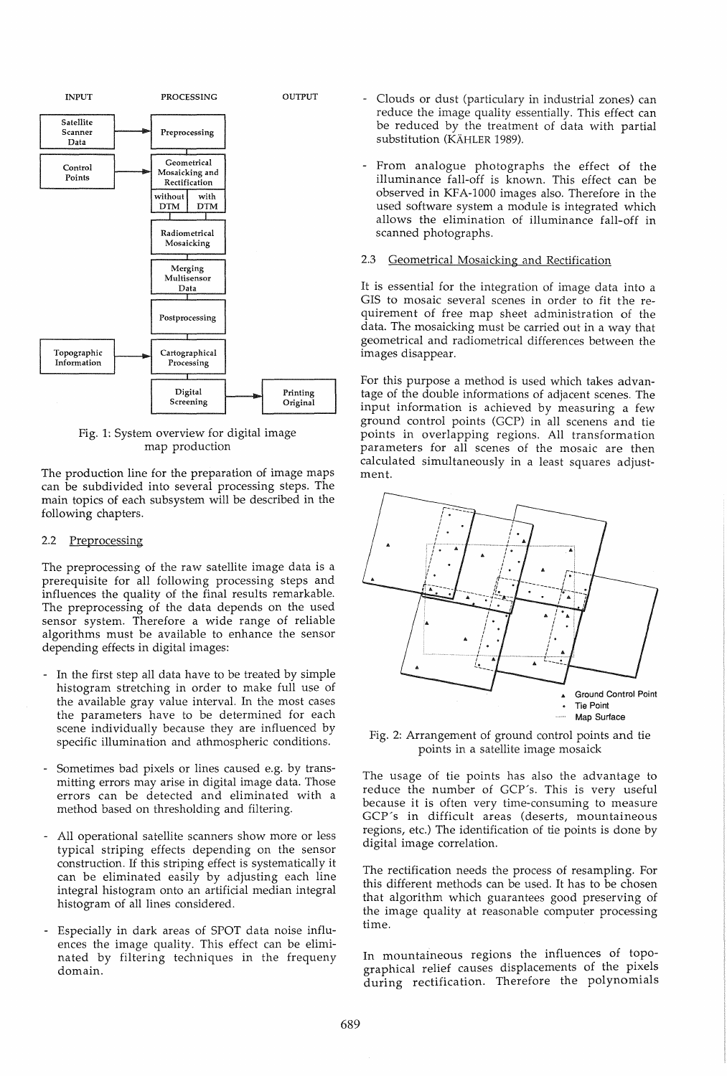

Fig. 1: System overview for digital image map production

The production line for the preparation of image maps can be subdivided into several processing steps. The main topics of each subsystem will be described in the following chapters.

### 2.2 Preprocessing

The preprocessing of the raw satellite image data is a prerequisite for all following processing steps and influences the quality of the final results remarkable. The preprocessing of the data depends on the used sensor system. Therefore a wide range of reliable algorithms must be available to enhance the sensor depending effects in digital images:

- In the first step all data have to be treated by simple histogram stretching in order to make full use of the available gray value interval. In the most cases the parameters have to be determined for each scene individually because they are influenced by specific illumination and athmospheric conditions.
- Sometimes bad pixels or lines caused e.g. by transmitting errors may arise in digital image data. Those errors can be detected and eliminated with a method based on thresholding and filtering.
- All operational satellite scanners show more or less typical striping effects depending on the sensor construction. If this striping effect is systematically it can be eliminated easily by adjusting each line integral histogram onto an artificial median integral histogram of all lines considered.
- Especially in dark areas of SPOT data noise influences the image quality. This effect can be eliminated by filtering techniques in the frequeny domain.
- Clouds or dust (particulary in industrial zones) can reduce the image quality essentially. This effect can be reduced by the treatment of data with partial substitution (KÄHLER 1989).
- From analogue photographs the effect of the illuminance fall-off is known. This effect can be observed in KFA-1000 images also. Therefore in the used software system a module is integrated which allows the elimination of illuminance fall-off in scanned photographs.

#### 2.3 Geometrical Mosaicking and Rectification

It is essential for the integration of image data into a GIS to mosaic several scenes in order to fit the requirement of free map sheet administration of the data. The mosaicking must be carried out in a way that geometrical and radiometrical differences between the images disappear.

For this purpose a method is used which takes advantage of the double informations of adjacent scenes. The input information is achieved by measuring a few ground control points (GCP) in all scenens and tie points in overlapping regions. All transformation parameters for all scenes of the mosaic are then calculated simultaneously in a least squares adjustment.



Fig. 2: Arrangement of ground control points and tie points in a satellite image mosaick

The usage of tie points has also the advantage to reduce the number of GCP's. This is very useful because it is often very time-consuming to measure GCP's in difficult areas (deserts, mountaineous regions, etc.) The identification of tie points is done by digital image correlation.

The rectification needs the process of resampling. For this different methods can be used. It has to be chosen that algorithm which guarantees good preserving of the image quality at reasonable computer processing time.

In mountaineous regions the influences of topographical relief causes displacements of the pixels during rectification. Therefore the polynomials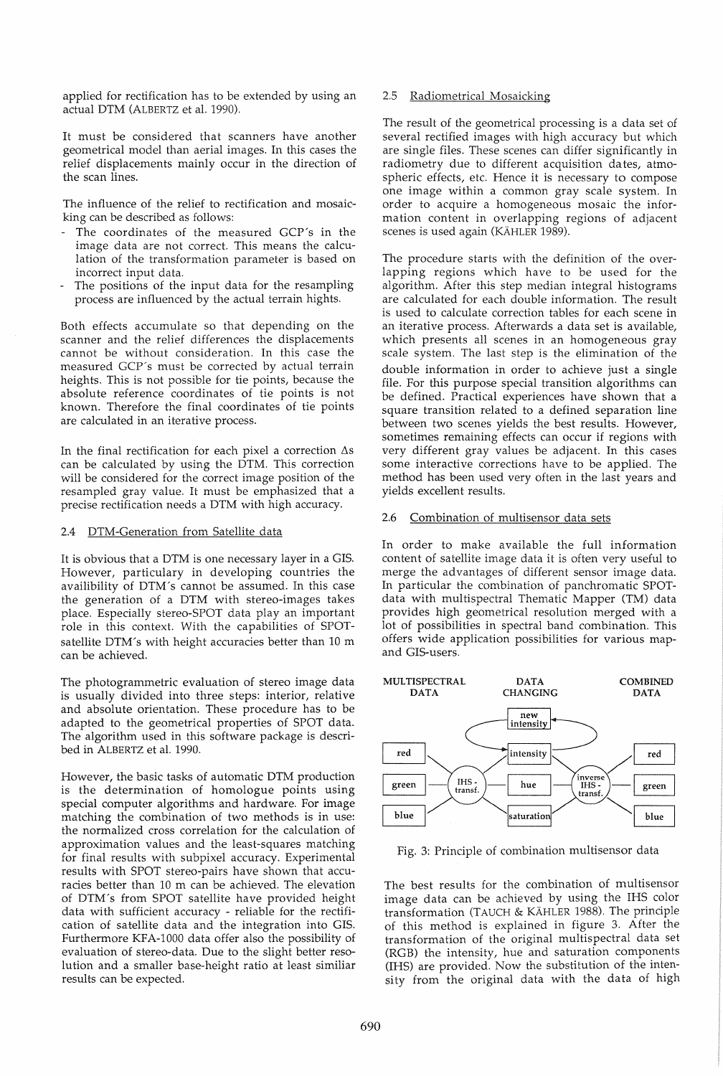applied for rectification has to be extended by using an actual DTM (ALBERTZ et al. 1990).

It must be considered that scanners have another geometrical model than aerial images. In this cases the relief displacements mainly occur in the direction of the scan lines.

The influence of the relief to rectification and mosaicking can be described as follows:

- The coordinates of the measured GCP's in the image data are not correct. This means the calculation of the transformation parameter is based on incorrect input data.
- The positions of the input data for the resampling process are influenced by the actual terrain hights.

Both effects accumulate so that depending on the scanner and the relief differences the displacements cannot be without consideration. In this case the measured GCP's must be corrected by actual terrain heights. This is not possible for tie points, because the absolute reference coordinates of tie points is not known. Therefore the final coordinates of tie points are calculated in an iterative process.

In the final rectification for each pixel a correction  $\Delta s$ can be calculated by using the DTM. This correction will be considered for the correct image position of the resampled gray value. It must be emphasized that a precise rectification needs a DTM with high accuracy.

# 2.4 DTM-Generation from Satellite data

It is obvious that a DTM is one necessary layer in a GIS. However, particulary in developing countries the availibility of DTM's cannot be assumed. In this case the generation of a DTM with stereo-images takes place. Especially stereo-SPOT data play an important role in this context. With the capabilities of SPOTsatellite DTM's with height accuracies better than 10 m can be achieved.

The photogrammetric evaluation of stereo image data is usually divided into three steps: interior, relative and absolute orientation. These procedure has to be adapted to the geometrical properties of SPOT data. The algorithm used in this software package is described in ALBERTZ et al. 1990.

However, the basic tasks of automatic DTM production is the determination of homologue points using special computer algorithms and hardware. For image matching the combination of two methods is in use: the normalized cross correlation for the calculation of approximation values and the least-squares matching for final results with subpixel accuracy. Experimental results with SPOT stereo-pairs have shown that accuracies better than 10 m can be achieved. The elevation of DTM's from SPOT satellite have provided height data with sufficient accuracy - reliable for the rectification of satellite data and the integration into GIS. Furthermore KFA-1000 data offer also the possibility of evaluation of stereo-data. Due to the slight better resolution and a smaller base-height ratio at least similiar results can be expected.

### 2.5 Radiometrical Mosaicking

The result of the geometrical processing is a data set of several rectified images with high accuracy but which are single files. These scenes can differ significantly in radiometry due to different acquisition dates, atmospheric effects, etc. Hence it is necessary to compose one image within a common gray scale system. In order to acquire a homogeneous mosaic the information content in overlapping regions of adjacent scenes is used again (KAHLER 1989).

The procedure starts with the definition of the overlapping regions which have to be used for the algorithm. After this step median integral histograms are calculated for each double information. The result is used to calculate correction tables for each scene in an iterative process. Afterwards a data set is available, which presents all scenes in an homogeneous gray scale system. The last step is the elimination of the double information in order to achieve just a single file. For this purpose special transition algorithms can be defined. Practical experiences have shown that a square transition related to a defined separation line between two scenes yields the best results. However, sometimes remaining effects can occur if regions with very different gray values be adjacent. In this cases some interactive corrections have to be applied. The method has been used very often in the last years and yields excellent results.

### 2.6 Combination of multisensor data sets

In order to make available the full information content of satellite image data it is often very useful to merge the advantages of different sensor image data. In particular the combination of panchromatic SPOTdata with multispectral Thematic Mapper (TM) data provides high geometrical resolution merged with a lot of possibilities in spectral band combination. This offers wide application possibilities for various mapand GIS-users.



Fig. 3: Principle of combination multisensor data

The best results for the combination of multisensor image data can be achieved by using the IHS color transformation (TAUCH & KAHLER 1988). The principle of this method is explained in figure 3. After the transformation of the original multispectral data set (RGB) the intensity, hue and saturation components (IHS) are provided. Now the substitution of the intensity from the original data with the data of high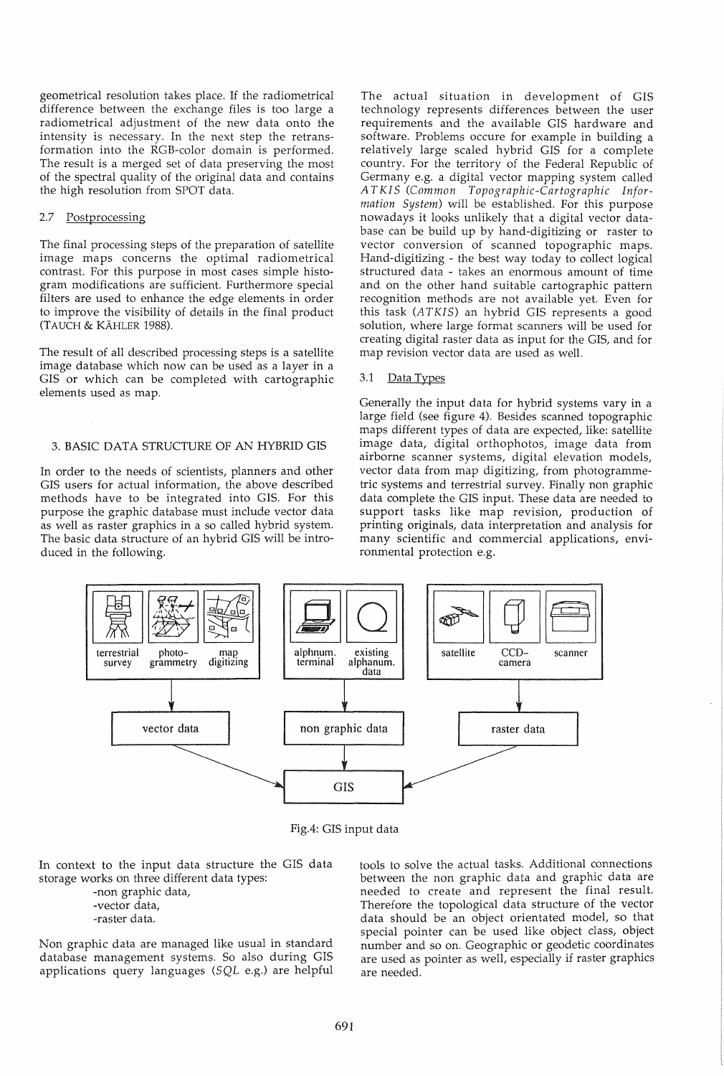geometrical resolution takes place. If the radiometrical difference between the exchange files is too large a radiometrical adjustment of the new data onto the intensity is necessary. In the next step the retransformation into the RGB-color domain is performed. The result is a merged set of data preserving the most of the spectral quality of the original data and contains the high resolution from SPOT data.

#### 2.7 Postprocessing

The final processing steps of the preparation of satellite image maps concerns the optimal radiometrical contrast. For this purpose in most cases simple histogram modifications are sufficient. Furthermore special filters are used to enhance the edge elements in order to improve the visibility of details in the final product (TAUCH & KAHLER 1988).

The result of all described processing steps is a satellite image database which now can be used as a layer in a GIS or which can be completed with cartographic elements used as map.

### 3. BASIC DATA STRUCTURE OF AN HYBRID GIS

In order to the needs of scientists, planners and other GIS users for actual information, the above described methods have to be integrated into GIS. For this purpose the graphic database must include vector data as well as raster graphics in a so called hybrid system. The basic data structure of an hybrid GIS will be introduced in the following.

The actual situation in development of GIS technology represents differences between the user requirements and the available GIS hardware and software. Problems occure for example in building a relatively large scaled hybrid GIS for a complete country. For the territory of the Federal Republic of Germany e.g. a digital vector mapping system called *AT KI* S *(Common Topographic-Cartographic Information System)* will be established. For this purpose nowadays it looks unlikely that a digital vector database can be build up by hand-digitizing or raster to vector conversion of scanned topographic maps. Hand-digitizing - the best way today to collect logical structured data - takes an enormous amount of time and on the other hand suitable cartographic pattern recognition methods are not available yet. Even for this task *(ATKIS)* an hybrid GIS represents a good solution, where large format scanners will be used for creating digital raster data as input for the GIS, and for map revision vector data are used as well.

# 3.1 Data Types

Generally the input data for hybrid systems vary in a large field (see figure 4). Besides scanned topographic maps different types of data are expected, like: satellite image data, digital orthophotos, image data from airborne scanner systems, digital elevation models, vector data from map digitizing, from photogrammetric systems and terrestrial survey. Finally non graphic data complete the GIS input. These data are needed to support tasks like map revision, production of printing originals, data interpretation and analysis for many scientific and commercial applications, environmental protection e.g.



Fig.4: GIS input data

In context to the input data structure the GIS data storage works on three different data types:

> -non graphic data, -vector data,

-raster data.

Non graphic data are managed like usual in standard database management systems. So also during GIS applications query languages *(SQL* e.g.) are helpful tools to solve the actual tasks. Additional connections between the non graphic data and graphic data are needed to create and represent the final result. Therefore the topological data structure of the vector data should be an object orientated model, so that special pointer can be used like object class, object number and so on. Geographic or geodetic coordinates are used as pointer as well, especially if raster graphics are needed.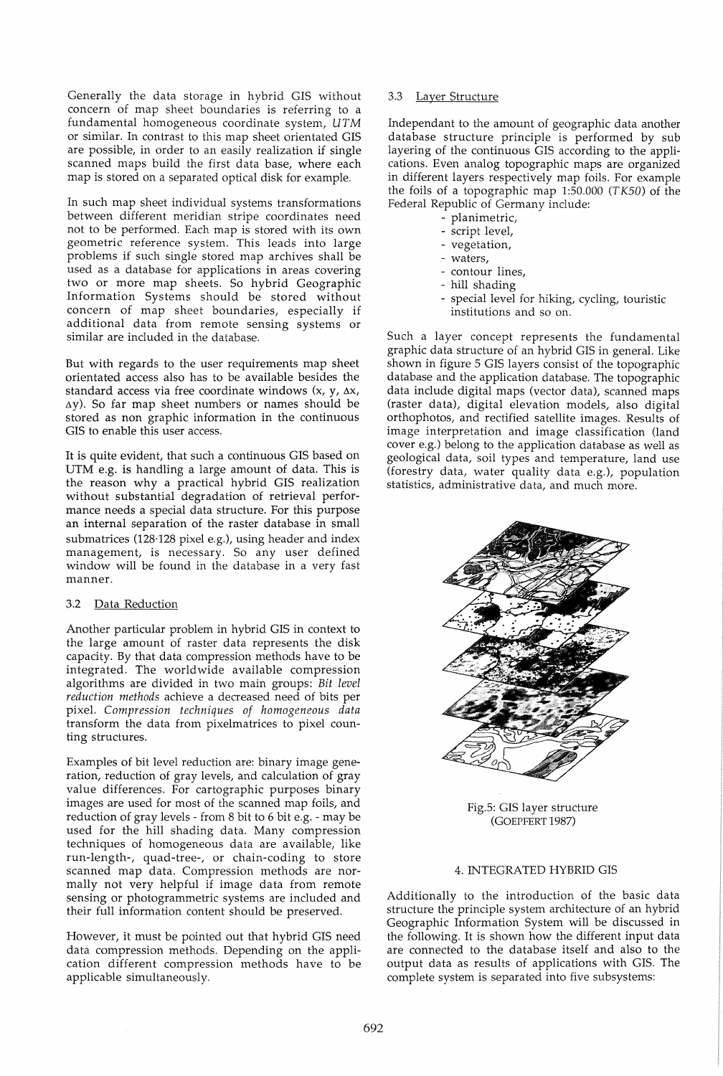Generally the data storage in hybrid GIS without concern of map sheet boundaries is referring to a fundamental homogeneous coordinate system, *UT* M or similar. In contrast to this map sheet orientated GIS are possible, in order to an easily realization if single scanned maps build the first data base, where each map is stored on a separated optical disk for example.

In such map sheet individual systems transformations between different meridian stripe coordinates need not to be performed. Each map is stored with its own geometric reference system. This leads into large problems if such single stored map archives shall be used as a database for applications in areas covering two or more map sheets. So hybrid Geographic Information Systems should be stored without concern of map sheet boundaries, especially if additional data from remote sensing systems or similar are included in the database.

But with regards to the user requirements map sheet orientated access also has to be available besides the standard access via free coordinate windows  $(x, y, \Delta x,$  $\Delta$ y). So far map sheet numbers or names should be stored as non graphic information in the continuous GIS to enable this user access.

It is quite evident, that such a continuous GIS based on UTM e.g. is handling a large amount of data. This is the reason why a practical hybrid GIS realization without substantial degradation of retrieval performance needs a special data structure. For this purpose an internal separation of the raster database in small submatrices (128·128 pixel e.g.), using header and index management, is necessary. So any user defined window will be found in the database in a very fast manner.

# 3.2 Data Reduction

Another particular problem in hybrid GIS in context to the large amount of raster data represents the disk capacity. By that data compression methods have to be integrated. The worldwide available compression algorithms are divided in two main groups: *Bit level reduction methods* achieve a decreased need of bits per pixel. *Compression techniques of homogeneous data*  transform the data from pixelmatrices to pixel counting structures.

Examples of bit level reduction are: binary image generation, reduction of gray levels, and calculation of gray value differences. For cartographic purposes binary images are used for most of the scanned map foils, and reduction of gray levels - from 8 bit to 6 bit e.g. - may be used for the hill shading data. Many compression techniques of homogeneous data are available, like run-Iength-, quad-tree-, or chain-coding to store scanned map data. Compression methods are normally not very helpful if image data from remote sensing or photogrammetric systems are included and their full information content should be preserved.

However, it must be pointed out that hybrid GIS need data compression methods. Depending on the application different compression methods have to be applicable simultaneously.

### 3.3 Layer Structure

Independant to the amount of geographic data another database structure principle is performed by sub layering of the continuous GIS according to the applications. Even analog topographic maps are organized in different layers respectively map foils. For example the foils of a topographic map 1:50.000 (TK50) of the Federal Republic of Germany include:

- planimetric,
- script level,
- vegetation,
- waters,
- contour lines,
- hill shading
- special level for hiking, cycling, touristic institutions and so on.

Such a layer concept represents the fundamental graphic data structure of an hybrid GIS in general. Like shown in figure 5 GIS layers consist of the topographic database and the application database. The topographic data include digital maps (vector data), scanned maps (raster data), digital elevation models, also digital orthophotos, and rectified satellite images. Results of image interpretation and image classification (land cover e.g.) belong to the application database as well as geological data, soil types and temperature, land use (forestry data, water quality data e.g.), population statistics, administrative data, and much more.



Fig.5: GIS layer structure (GOEPFERT 1987)

# 4. INTEGRATED HYBRID GIS

Additionally to the introduction of the basic data structure the principle system architecture of an hybrid Geographic Information System will be discussed in the following. It is shown how the different input data are connected to the database itself and also to the output data as results of applications with GIS. The complete system is separated into five subsystems: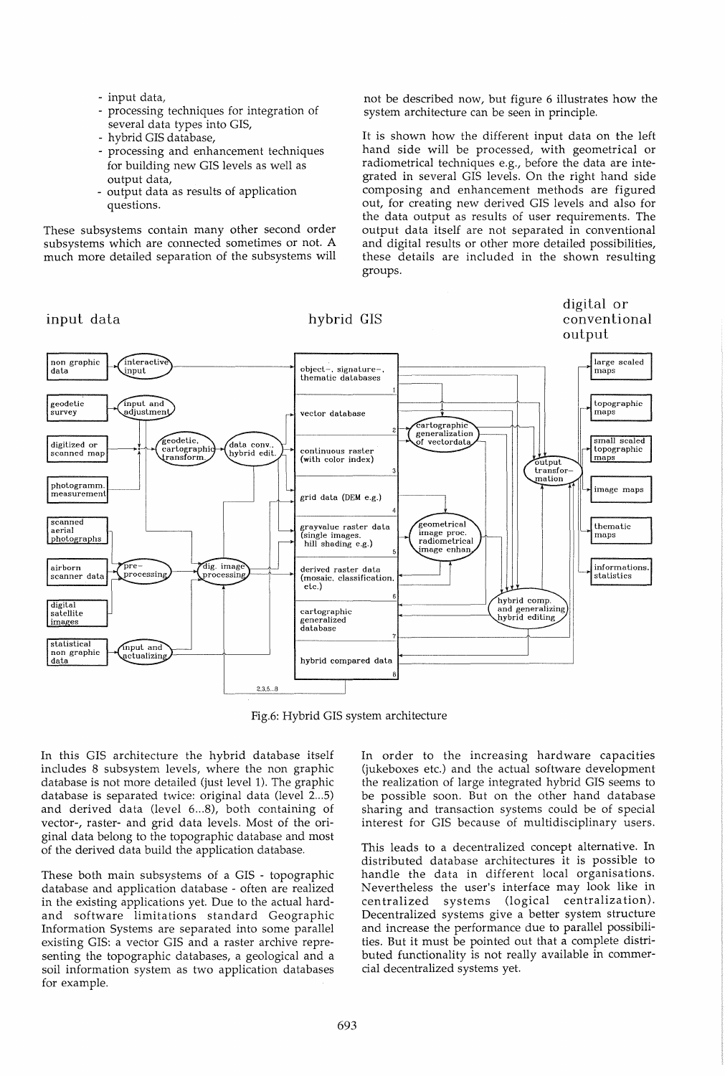- input data,
- processing techniques for integration of several data types into GIS,
- hybrid GIS database,
- processing and enhancement techniques for building new GIS levels as well as output data,
- output data as results of application questions.

These subsystems contain many other second order subsystems which are connected sometimes or not. A much more detailed separation of the subsystems will not be described now, but figure 6 illustrates how the system architecture can be seen in principle.

It is shown how the different input data on the left hand side will be processed, with geometrical or radiometrical techniques e.g., before the data are integrated in several GIS levels. On the right hand side composing and enhancement methods are figured out, for creating new derived GIS levels and also for the data output as results of user requirements. The output data itself are not separated in conventional and digital results or other more detailed possibilities, these details are included in the shown resulting groups.



Fig.6: Hybrid GIS system architecture

In this GIS architecture the hybrid database itself includes 8 subsystem levels, where the non graphic database is not more detailed (just level 1). The graphic database is separated twice: original data (level 2...5) and derived data (level 6...8), both containing of vector-, raster- and grid data levels. Most of the original data belong to the topographic database and most of the derived data build the application database.

These both main subsystems of a GIS - topographic database and application database - often are realized in the existing applications yet. Due to the actual hardand software limitations standard Geographic Information Systems are separated into some parallel existing GIS: a vector GIS and a raster archive representing the topographic databases, a geological and a soil information system as two application databases for example.

In order to the increasing hardware capacities (jukeboxes etc.) and the actual software development the realization of large integrated hybrid GIS seems to be possible soon. But on the other hand database sharing and transaction systems could be of special interest for GIS because of multidisciplinary users.

This leads to a decentralized concept alternative. In distributed database architectures it is possible to handle the data in different local organisations. Nevertheless the user's interface may look like in centralized systems (logical centralization). Decentralized systems give a better system structure and increase the performance due to parallel possibilities, But it must be pointed out that a complete distributed functionality is not really available in commercial decentralized systems yet.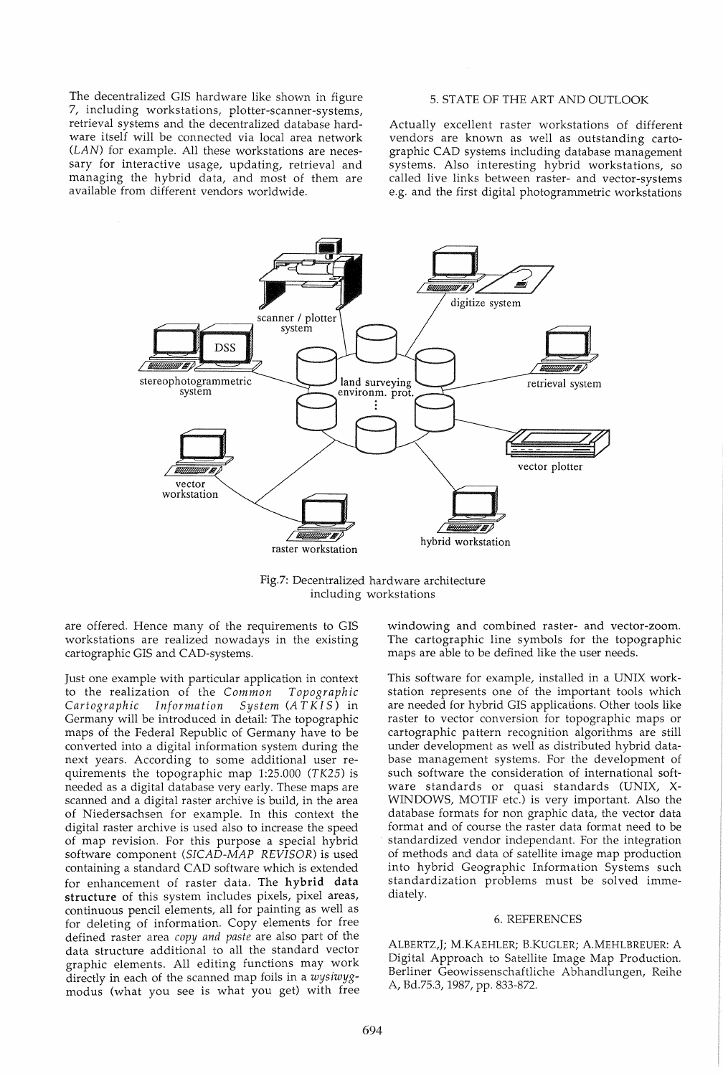The decentralized GIS hardware like shown in figure 7, including workstations, plotter-scanner-systems, retrieval systems and the decentralized database hardware itself will be connected via local area network (LAN) for example. All these workstations are necessary for interactive usage, updating, retrieval and managing the hybrid data, and most of them are available from different vendors worldwide.

### 5. STATE OF THE ART AND OUTLOOK

Actually excellent raster workstations of different vendors are known as well as outstanding cartographic CAD systems including database management systems. Also interesting hybrid workstations, so called live links between raster- and vector-systems e.g. and the first digital photogrammetric workstations



Fig.7: Decentralized hardware architecture including workstations

are offered. Hence many of the requirements to GIS workstations are realized nowadays in the existing cartographic GIS and CAD-systems.

Just one example with particular application in context to the realization of the *Common Topographic Cartographic Information System (A T KI* S) in Germany will be introduced in detail: The topographic maps of the Federal Republic of Germany have to be converted into a digital information system during the next years. According to some additional user requirements the topographic map 1:25.000 *(TK25)* is needed as a digital database very early. These maps are scanned and a digital raster archive is build, in the area of Niedersachsen for example. In this context the digital raster archive is used also to increase the speed of map revision. For this purpose a special hybrid software component *(SICAD-MAP REVISOR)* is used containing a standard CAD software which is extended for enhancement of raster data. The hybrid data structure of this system includes pixels, pixel areas, continuous pencil elements, all for painting as well as for deleting of information. Copy elements for free defined raster area *copy and paste* are also part of the data structure additional to all the standard vector graphic elements. All editing functions may work directly in each of the scanned map foils in a *wysiwyg*modus (what you see is what you get) with free

windowing and combined raster- and vector-zoom. The cartographic line symbols for the topographic maps are able to be defined like the user needs.

This software for example, installed in a UNIX workstation represents one of the important tools which are needed for hybrid GIS applications. Other tools like raster to vector conversion for topographic maps or cartographic pattern recognition algorithms are still under development as well as distributed hybrid database management systems. For the development of such software the consideration of international software standards or quasi standards (UNIX, X-WINDOWS, MOTIF etc.) is very important. Also the database formats for non graphic data, the vector data format and of course the raster data format need to be standardized vendor independant. For the integration of methods and data of satellite image map production into hybrid Geographic Information Systems such standardization problems must be solved immediately.

#### 6. REFERENCES

ALBERTZ,J; M.KAEHLER; B.KUGLER; A.MEHLBREUER: A Digital Approach to Satellite Image Map Production. Berliner Geowissenschaftliche Abhandlungen, Reihe A, Bd.75.3, 1987, *pp. 833-872.*